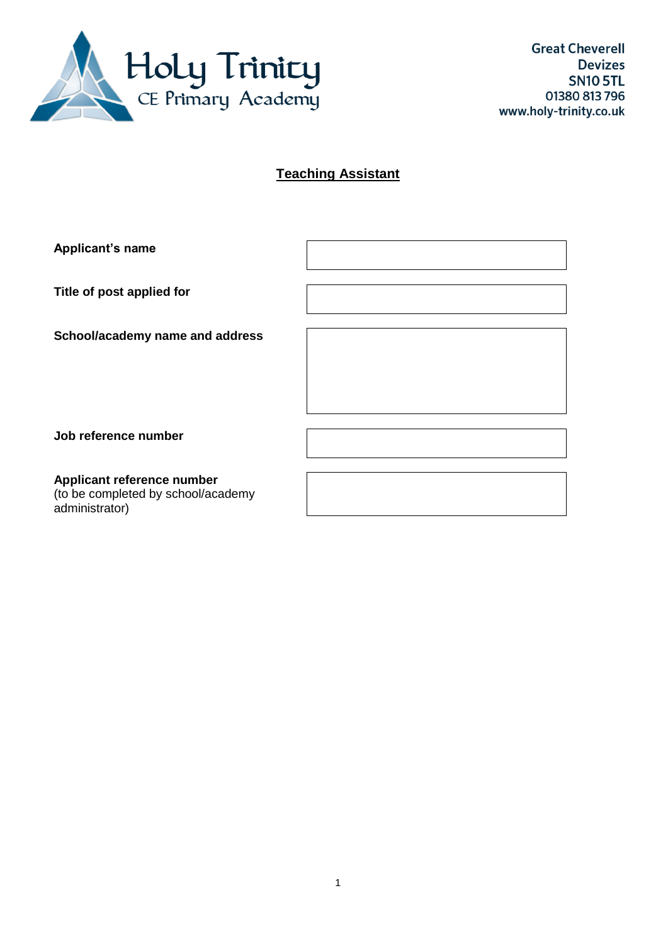

# **Teaching Assistant**

| <b>Applicant's name</b>         |  |
|---------------------------------|--|
| Title of post applied for       |  |
| School/academy name and address |  |
| Job reference number            |  |
| Applicant reference number      |  |

(to be completed by school/academy administrator)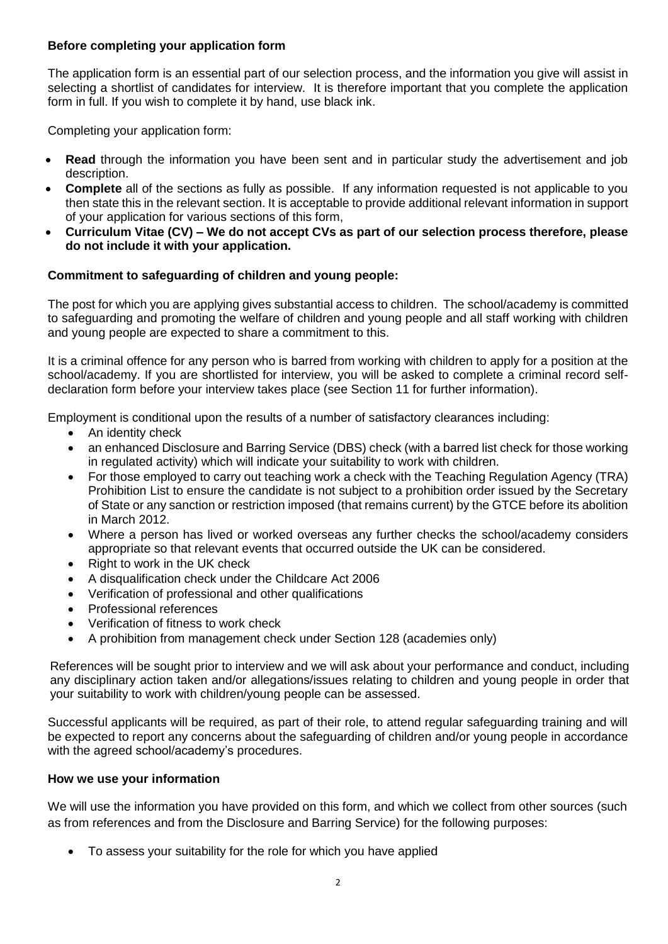# **Before completing your application form**

The application form is an essential part of our selection process, and the information you give will assist in selecting a shortlist of candidates for interview. It is therefore important that you complete the application form in full. If you wish to complete it by hand, use black ink.

Completing your application form:

- **Read** through the information you have been sent and in particular study the advertisement and job description.
- **Complete** all of the sections as fully as possible. If any information requested is not applicable to you then state this in the relevant section. It is acceptable to provide additional relevant information in support of your application for various sections of this form,
- **Curriculum Vitae (CV) – We do not accept CVs as part of our selection process therefore, please do not include it with your application.**

#### **Commitment to safeguarding of children and young people:**

The post for which you are applying gives substantial access to children. The school/academy is committed to safeguarding and promoting the welfare of children and young people and all staff working with children and young people are expected to share a commitment to this.

It is a criminal offence for any person who is barred from working with children to apply for a position at the school/academy. If you are shortlisted for interview, you will be asked to complete a criminal record selfdeclaration form before your interview takes place (see Section 11 for further information).

Employment is conditional upon the results of a number of satisfactory clearances including:

- An identity check
- an enhanced Disclosure and Barring Service (DBS) check (with a barred list check for those working in regulated activity) which will indicate your suitability to work with children.
- For those employed to carry out teaching work a check with the Teaching Regulation Agency (TRA) Prohibition List to ensure the candidate is not subject to a prohibition order issued by the Secretary of State or any sanction or restriction imposed (that remains current) by the GTCE before its abolition in March 2012.
- Where a person has lived or worked overseas any further checks the school/academy considers appropriate so that relevant events that occurred outside the UK can be considered.
- Right to work in the UK check
- A disqualification check under the Childcare Act 2006
- Verification of professional and other qualifications
- Professional references
- Verification of fitness to work check
- A prohibition from management check under Section 128 (academies only)

References will be sought prior to interview and we will ask about your performance and conduct, including any disciplinary action taken and/or allegations/issues relating to children and young people in order that your suitability to work with children/young people can be assessed.

Successful applicants will be required, as part of their role, to attend regular safeguarding training and will be expected to report any concerns about the safeguarding of children and/or young people in accordance with the agreed school/academy's procedures.

#### **How we use your information**

We will use the information you have provided on this form, and which we collect from other sources (such as from references and from the Disclosure and Barring Service) for the following purposes:

To assess your suitability for the role for which you have applied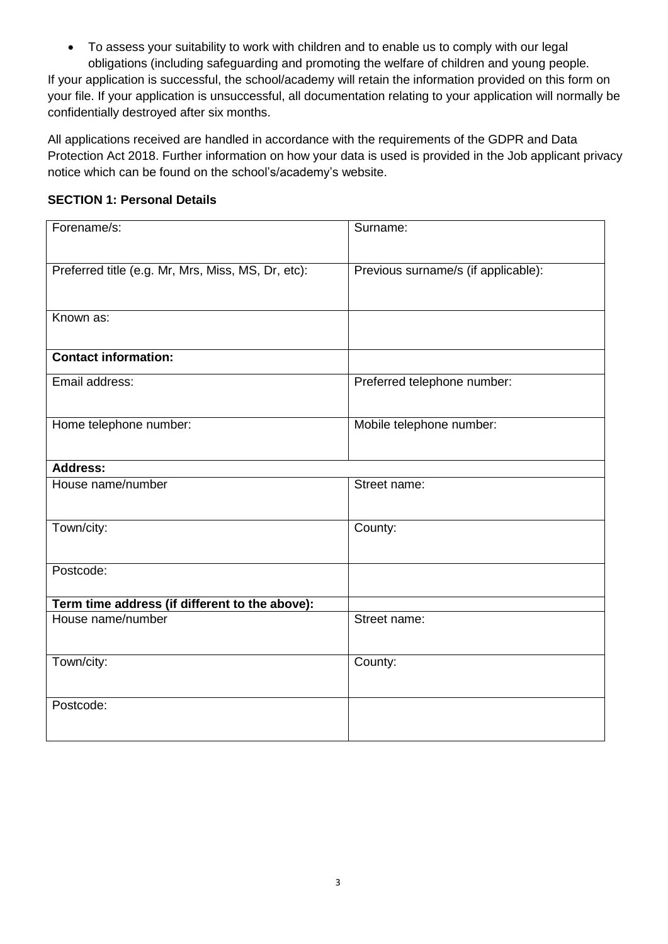To assess your suitability to work with children and to enable us to comply with our legal obligations (including safeguarding and promoting the welfare of children and young people. If your application is successful, the school/academy will retain the information provided on this form on your file. If your application is unsuccessful, all documentation relating to your application will normally be confidentially destroyed after six months.

All applications received are handled in accordance with the requirements of the GDPR and Data Protection Act 2018. Further information on how your data is used is provided in the Job applicant privacy notice which can be found on the school's/academy's website.

# **SECTION 1: Personal Details**

| Forename/s:                                        | Surname:                            |
|----------------------------------------------------|-------------------------------------|
|                                                    |                                     |
| Preferred title (e.g. Mr, Mrs, Miss, MS, Dr, etc): | Previous surname/s (if applicable): |
| Known as:                                          |                                     |
|                                                    |                                     |
| <b>Contact information:</b>                        |                                     |
| Email address:                                     | Preferred telephone number:         |
|                                                    |                                     |
| Home telephone number:                             | Mobile telephone number:            |
| <b>Address:</b>                                    |                                     |
| House name/number                                  | Street name:                        |
|                                                    |                                     |
| Town/city:                                         | County:                             |
| Postcode:                                          |                                     |
|                                                    |                                     |
| Term time address (if different to the above):     |                                     |
| House name/number                                  | Street name:                        |
| Town/city:                                         | County:                             |
|                                                    |                                     |
| Postcode:                                          |                                     |
|                                                    |                                     |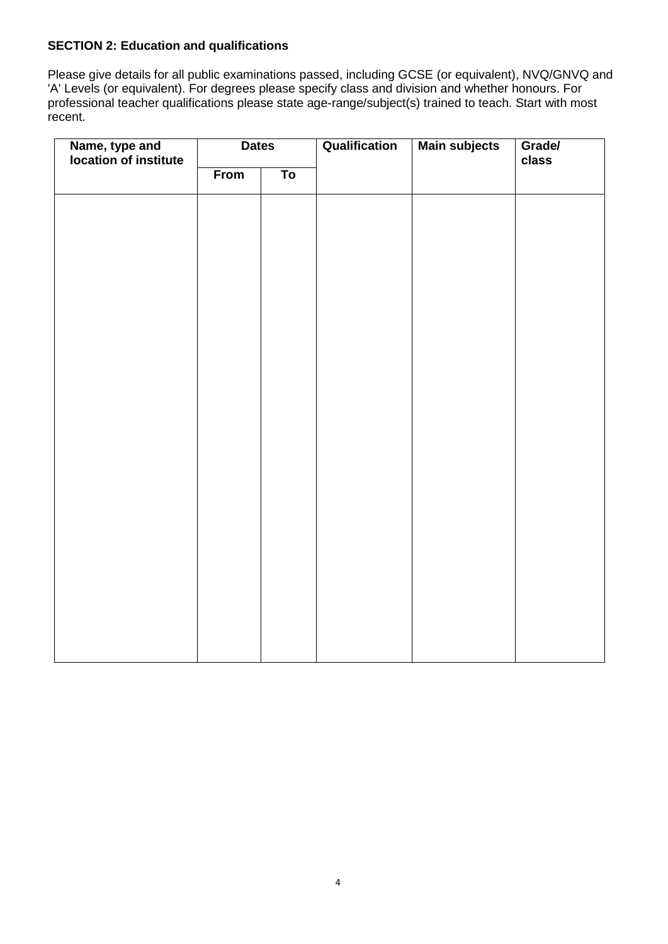# **SECTION 2: Education and qualifications**

Please give details for all public examinations passed, including GCSE (or equivalent), NVQ/GNVQ and 'A' Levels (or equivalent). For degrees please specify class and division and whether honours. For professional teacher qualifications please state age-range/subject(s) trained to teach. Start with most recent.

| Name, type and<br>location of institute | <b>Dates</b> |                          | Qualification | <b>Main subjects</b> | Grade/<br>class |  |
|-----------------------------------------|--------------|--------------------------|---------------|----------------------|-----------------|--|
|                                         | From         | $\overline{\mathsf{To}}$ |               |                      |                 |  |
|                                         |              |                          |               |                      |                 |  |
|                                         |              |                          |               |                      |                 |  |
|                                         |              |                          |               |                      |                 |  |
|                                         |              |                          |               |                      |                 |  |
|                                         |              |                          |               |                      |                 |  |
|                                         |              |                          |               |                      |                 |  |
|                                         |              |                          |               |                      |                 |  |
|                                         |              |                          |               |                      |                 |  |
|                                         |              |                          |               |                      |                 |  |
|                                         |              |                          |               |                      |                 |  |
|                                         |              |                          |               |                      |                 |  |
|                                         |              |                          |               |                      |                 |  |
|                                         |              |                          |               |                      |                 |  |
|                                         |              |                          |               |                      |                 |  |
|                                         |              |                          |               |                      |                 |  |
|                                         |              |                          |               |                      |                 |  |
|                                         |              |                          |               |                      |                 |  |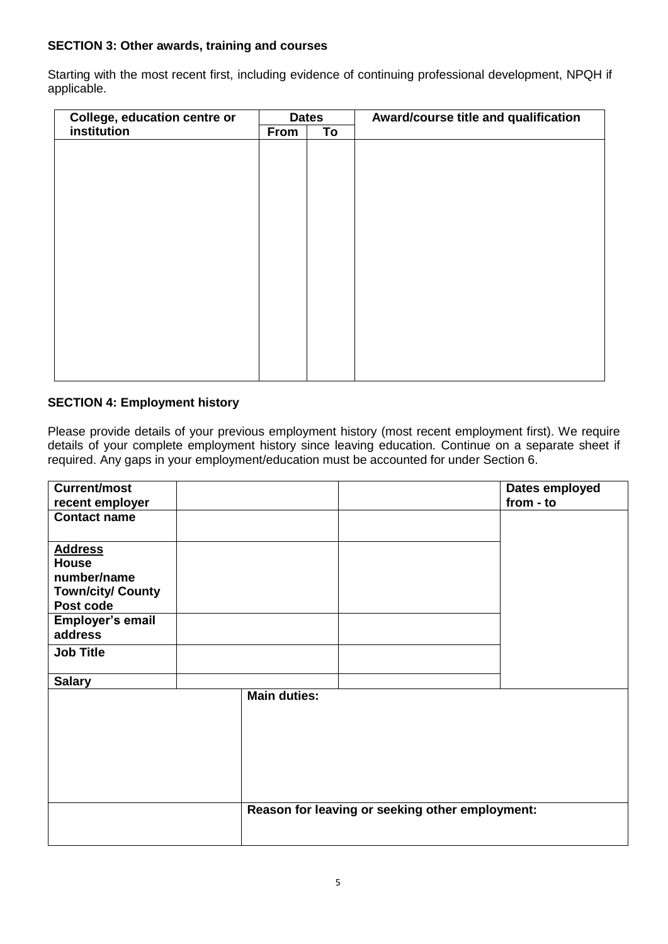# **SECTION 3: Other awards, training and courses**

Starting with the most recent first, including evidence of continuing professional development, NPQH if applicable.

| College, education centre or | <b>Dates</b> |    | Award/course title and qualification |
|------------------------------|--------------|----|--------------------------------------|
| institution                  | <b>From</b>  | To |                                      |
|                              |              |    |                                      |
|                              |              |    |                                      |
|                              |              |    |                                      |
|                              |              |    |                                      |
|                              |              |    |                                      |
|                              |              |    |                                      |
|                              |              |    |                                      |
|                              |              |    |                                      |
|                              |              |    |                                      |
|                              |              |    |                                      |
|                              |              |    |                                      |
|                              |              |    |                                      |
|                              |              |    |                                      |
|                              |              |    |                                      |
|                              |              |    |                                      |
|                              |              |    |                                      |

## **SECTION 4: Employment history**

Please provide details of your previous employment history (most recent employment first). We require details of your complete employment history since leaving education. Continue on a separate sheet if required. Any gaps in your employment/education must be accounted for under Section 6.

| <b>Current/most</b>                                                                                                   |                     |                                                 | Dates employed |
|-----------------------------------------------------------------------------------------------------------------------|---------------------|-------------------------------------------------|----------------|
| recent employer                                                                                                       |                     |                                                 | from - to      |
| <b>Contact name</b>                                                                                                   |                     |                                                 |                |
| <b>Address</b><br><b>House</b><br>number/name<br><b>Town/city/ County</b><br>Post code<br>Employer's email<br>address |                     |                                                 |                |
| <b>Job Title</b>                                                                                                      |                     |                                                 |                |
| <b>Salary</b>                                                                                                         |                     |                                                 |                |
|                                                                                                                       | <b>Main duties:</b> | Reason for leaving or seeking other employment: |                |
|                                                                                                                       |                     |                                                 |                |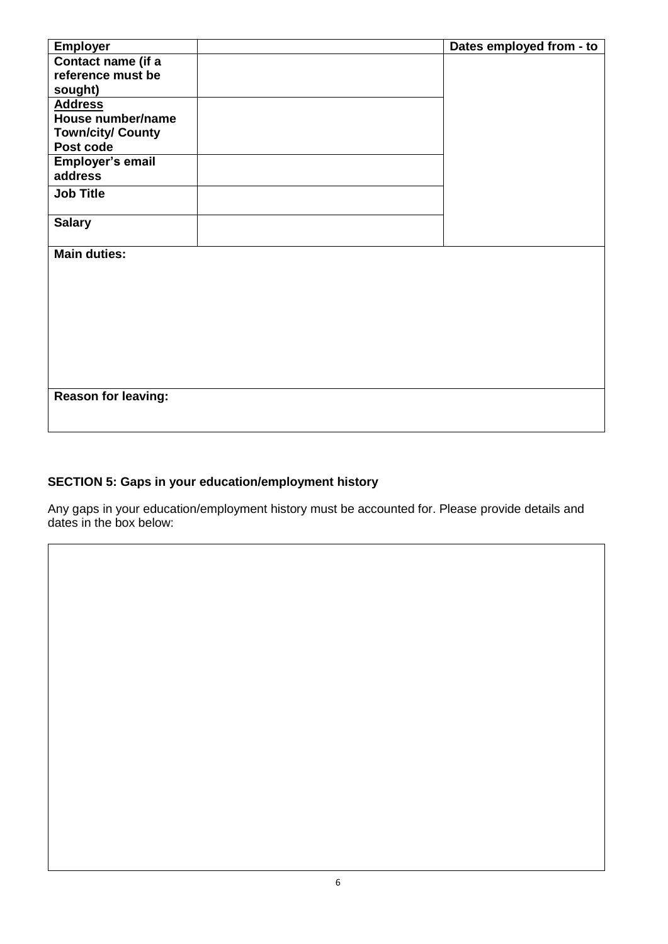| <b>Employer</b>            | Dates employed from - to |
|----------------------------|--------------------------|
| Contact name (if a         |                          |
| reference must be          |                          |
| sought)                    |                          |
| <b>Address</b>             |                          |
| House number/name          |                          |
| <b>Town/city/ County</b>   |                          |
| Post code                  |                          |
| Employer's email           |                          |
| address                    |                          |
| <b>Job Title</b>           |                          |
|                            |                          |
|                            |                          |
| <b>Salary</b>              |                          |
|                            |                          |
| <b>Main duties:</b>        |                          |
|                            |                          |
|                            |                          |
|                            |                          |
|                            |                          |
|                            |                          |
|                            |                          |
|                            |                          |
|                            |                          |
|                            |                          |
| <b>Reason for leaving:</b> |                          |
|                            |                          |
|                            |                          |

# **SECTION 5: Gaps in your education/employment history**

Any gaps in your education/employment history must be accounted for. Please provide details and dates in the box below: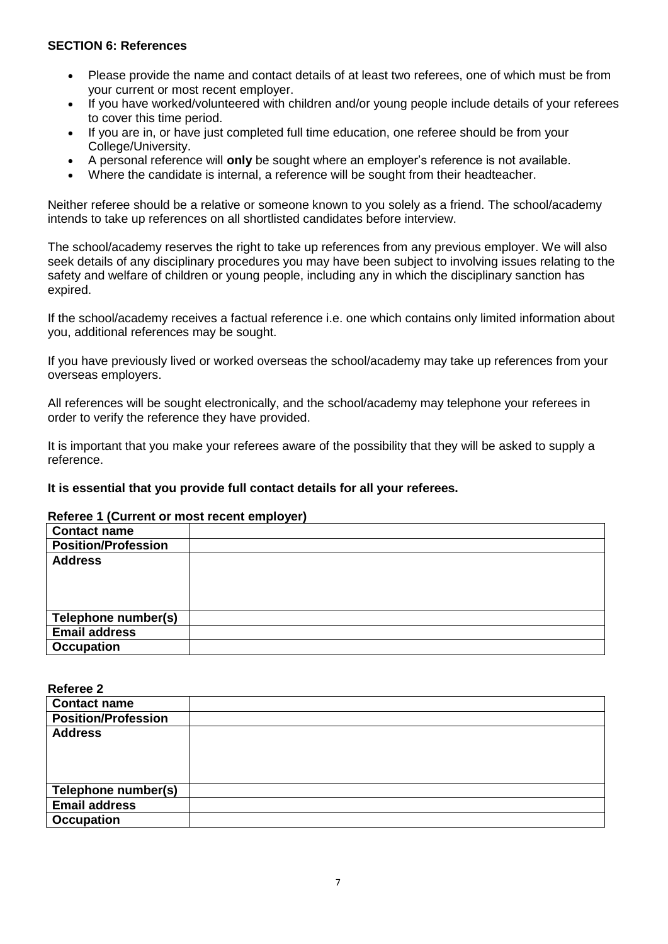#### **SECTION 6: References**

- Please provide the name and contact details of at least two referees, one of which must be from your current or most recent employer.
- If you have worked/volunteered with children and/or young people include details of your referees to cover this time period.
- If you are in, or have just completed full time education, one referee should be from your College/University.
- A personal reference will **only** be sought where an employer's reference is not available.
- Where the candidate is internal, a reference will be sought from their headteacher.

Neither referee should be a relative or someone known to you solely as a friend. The school/academy intends to take up references on all shortlisted candidates before interview.

The school/academy reserves the right to take up references from any previous employer. We will also seek details of any disciplinary procedures you may have been subject to involving issues relating to the safety and welfare of children or young people, including any in which the disciplinary sanction has expired.

If the school/academy receives a factual reference i.e. one which contains only limited information about you, additional references may be sought.

If you have previously lived or worked overseas the school/academy may take up references from your overseas employers.

All references will be sought electronically, and the school/academy may telephone your referees in order to verify the reference they have provided.

It is important that you make your referees aware of the possibility that they will be asked to supply a reference.

#### **It is essential that you provide full contact details for all your referees.**

#### **Referee 1 (Current or most recent employer)**

| <b>Contact name</b>        |  |
|----------------------------|--|
| <b>Position/Profession</b> |  |
| <b>Address</b>             |  |
| Telephone number(s)        |  |
| <b>Email address</b>       |  |
|                            |  |
| <b>Occupation</b>          |  |

**Referee 2**

| <b>Contact name</b>        |  |
|----------------------------|--|
| <b>Position/Profession</b> |  |
| <b>Address</b>             |  |
|                            |  |
|                            |  |
|                            |  |
| Telephone number(s)        |  |
| <b>Email address</b>       |  |
| <b>Occupation</b>          |  |
|                            |  |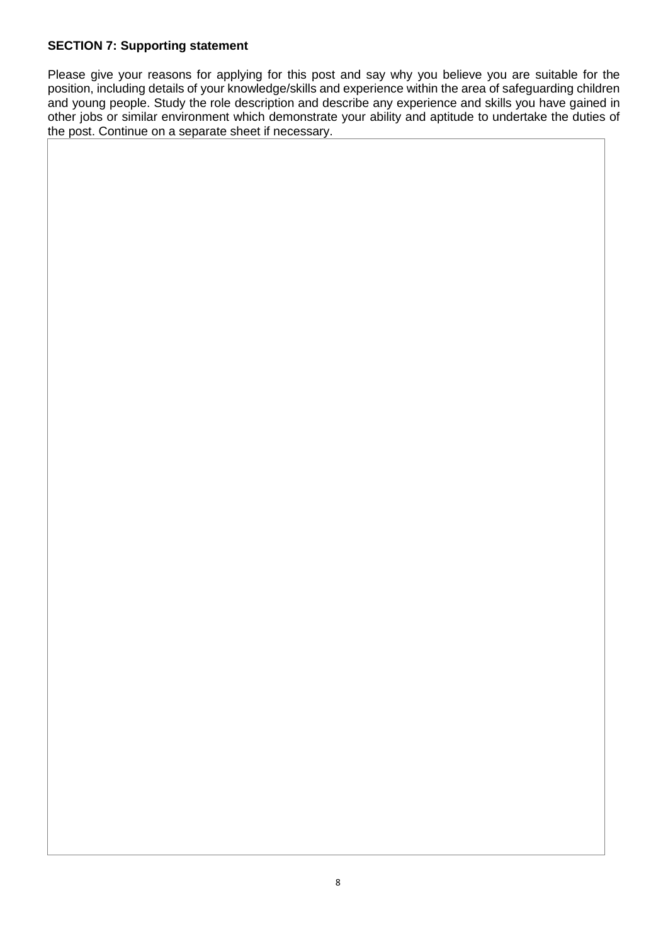# **SECTION 7: Supporting statement**

Please give your reasons for applying for this post and say why you believe you are suitable for the position, including details of your knowledge/skills and experience within the area of safeguarding children and young people. Study the role description and describe any experience and skills you have gained in other jobs or similar environment which demonstrate your ability and aptitude to undertake the duties of the post. Continue on a separate sheet if necessary.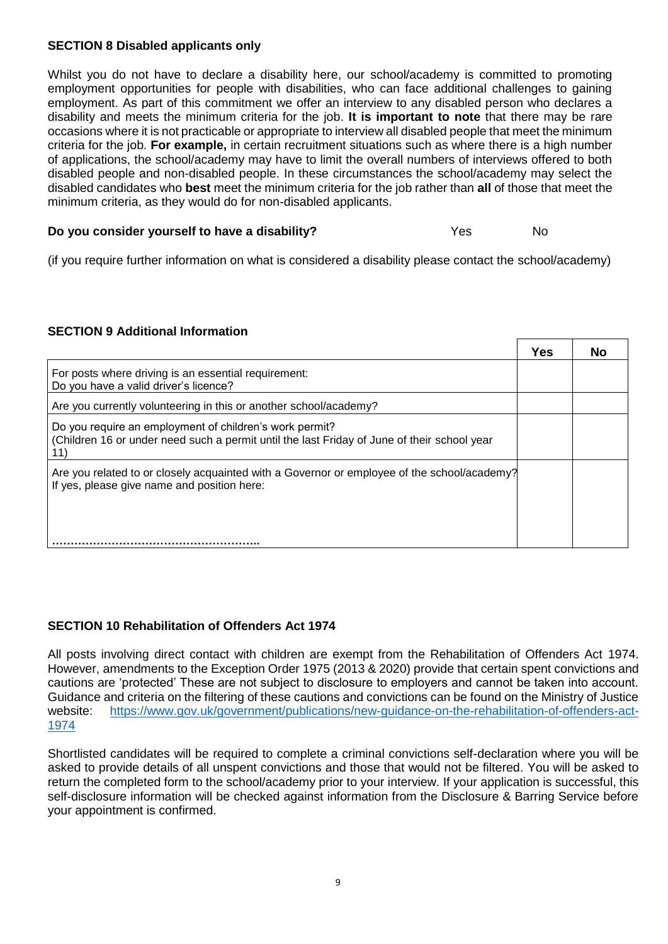# **SECTION 8 Disabled applicants only**

Whilst you do not have to declare a disability here, our school/academy is committed to promoting employment opportunities for people with disabilities, who can face additional challenges to gaining employment. As part of this commitment we offer an interview to any disabled person who declares a disability and meets the minimum criteria for the job. **It is important to note** that there may be rare occasions where it is not practicable or appropriate to interview all disabled people that meet the minimum criteria for the job. **For example,** in certain recruitment situations such as where there is a high number of applications, the school/academy may have to limit the overall numbers of interviews offered to both disabled people and non-disabled people. In these circumstances the school/academy may select the disabled candidates who **best** meet the minimum criteria for the job rather than **all** of those that meet the minimum criteria, as they would do for non-disabled applicants.

# **Do you consider yourself to have a disability?** The Messeng Yes No

(if you require further information on what is considered a disability please contact the school/academy)

## **SECTION 9 Additional Information**

|                                                                                                                                                        | <b>Yes</b> | No |
|--------------------------------------------------------------------------------------------------------------------------------------------------------|------------|----|
| For posts where driving is an essential requirement:<br>Do you have a valid driver's licence?                                                          |            |    |
| Are you currently volunteering in this or another school/academy?                                                                                      |            |    |
| Do you require an employment of children's work permit?<br>(Children 16 or under need such a permit until the last Friday of June of their school year |            |    |
| Are you related to or closely acquainted with a Governor or employee of the school/academy?<br>If yes, please give name and position here:             |            |    |
|                                                                                                                                                        |            |    |

 $\blacksquare$ 

┯

#### **SECTION 10 Rehabilitation of Offenders Act 1974**

All posts involving direct contact with children are exempt from the Rehabilitation of Offenders Act 1974. However, amendments to the Exception Order 1975 (2013 & 2020) provide that certain spent convictions and cautions are 'protected' These are not subject to disclosure to employers and cannot be taken into account. Guidance and criteria on the filtering of these cautions and convictions can be found on the Ministry of Justice website: [https://www.gov.uk/government/publications/new-guidance-on-the-rehabilitation-of-offenders-act-](https://www.gov.uk/government/publications/new-guidance-on-the-rehabilitation-of-offenders-act-1974)[1974](https://www.gov.uk/government/publications/new-guidance-on-the-rehabilitation-of-offenders-act-1974)

Shortlisted candidates will be required to complete a criminal convictions self-declaration where you will be asked to provide details of all unspent convictions and those that would not be filtered. You will be asked to return the completed form to the school/academy prior to your interview. If your application is successful, this self-disclosure information will be checked against information from the Disclosure & Barring Service before your appointment is confirmed.